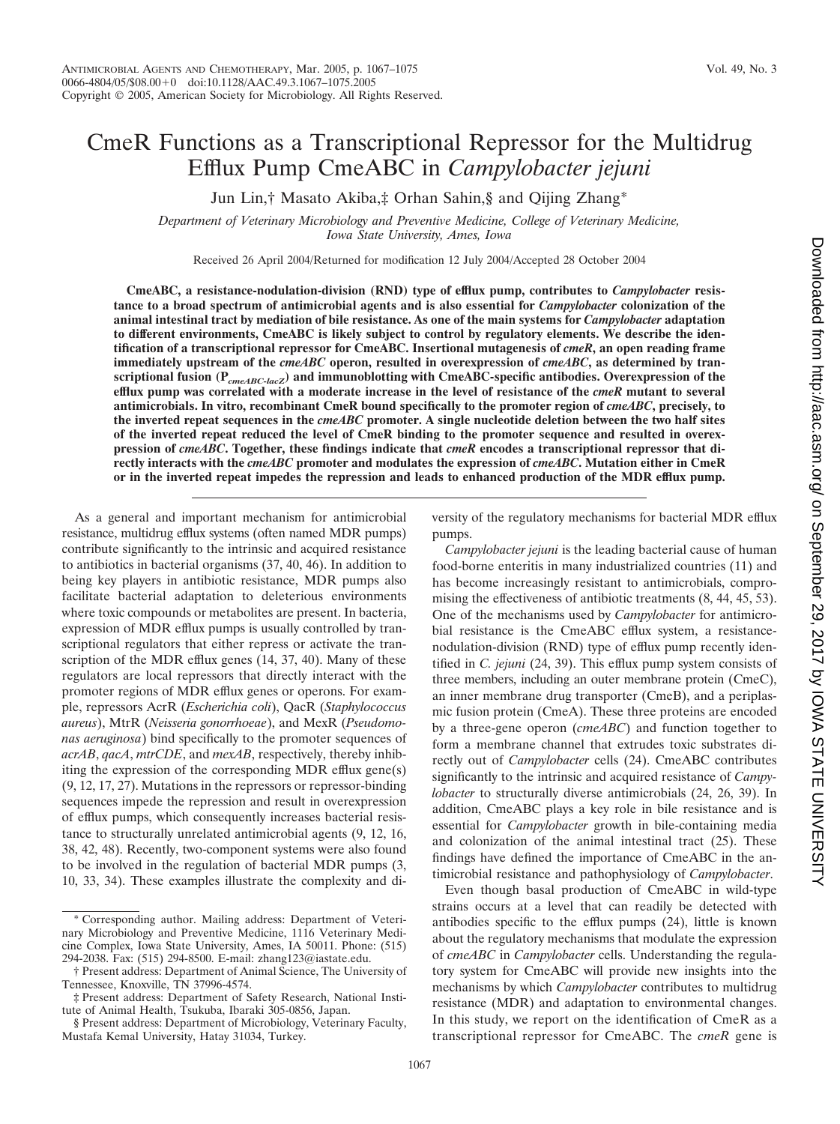# CmeR Functions as a Transcriptional Repressor for the Multidrug Efflux Pump CmeABC in *Campylobacter jejuni*

Jun Lin,† Masato Akiba,‡ Orhan Sahin,§ and Qijing Zhang\*

*Department of Veterinary Microbiology and Preventive Medicine, College of Veterinary Medicine, Iowa State University, Ames, Iowa*

Received 26 April 2004/Returned for modification 12 July 2004/Accepted 28 October 2004

**CmeABC, a resistance-nodulation-division (RND) type of efflux pump, contributes to** *Campylobacter* **resistance to a broad spectrum of antimicrobial agents and is also essential for** *Campylobacter* **colonization of the animal intestinal tract by mediation of bile resistance. As one of the main systems for** *Campylobacter* **adaptation to different environments, CmeABC is likely subject to control by regulatory elements. We describe the identification of a transcriptional repressor for CmeABC. Insertional mutagenesis of** *cmeR***, an open reading frame immediately upstream of the** *cmeABC* **operon, resulted in overexpression of** *cmeABC***, as determined by transcriptional fusion (P***cmeABC-lacZ***) and immunoblotting with CmeABC-specific antibodies. Overexpression of the efflux pump was correlated with a moderate increase in the level of resistance of the** *cmeR* **mutant to several antimicrobials. In vitro, recombinant CmeR bound specifically to the promoter region of** *cmeABC***, precisely, to the inverted repeat sequences in the** *cmeABC* **promoter. A single nucleotide deletion between the two half sites of the inverted repeat reduced the level of CmeR binding to the promoter sequence and resulted in overexpression of** *cmeABC***. Together, these findings indicate that** *cmeR* **encodes a transcriptional repressor that directly interacts with the** *cmeABC* **promoter and modulates the expression of** *cmeABC***. Mutation either in CmeR or in the inverted repeat impedes the repression and leads to enhanced production of the MDR efflux pump.**

As a general and important mechanism for antimicrobial resistance, multidrug efflux systems (often named MDR pumps) contribute significantly to the intrinsic and acquired resistance to antibiotics in bacterial organisms (37, 40, 46). In addition to being key players in antibiotic resistance, MDR pumps also facilitate bacterial adaptation to deleterious environments where toxic compounds or metabolites are present. In bacteria, expression of MDR efflux pumps is usually controlled by transcriptional regulators that either repress or activate the transcription of the MDR efflux genes (14, 37, 40). Many of these regulators are local repressors that directly interact with the promoter regions of MDR efflux genes or operons. For example, repressors AcrR (*Escherichia coli*), QacR (*Staphylococcus aureus*), MtrR (*Neisseria gonorrhoeae*), and MexR (*Pseudomonas aeruginosa*) bind specifically to the promoter sequences of *acrAB*, *qacA*, *mtrCDE*, and *mexAB*, respectively, thereby inhibiting the expression of the corresponding MDR efflux gene(s) (9, 12, 17, 27). Mutations in the repressors or repressor-binding sequences impede the repression and result in overexpression of efflux pumps, which consequently increases bacterial resistance to structurally unrelated antimicrobial agents (9, 12, 16, 38, 42, 48). Recently, two-component systems were also found to be involved in the regulation of bacterial MDR pumps (3, 10, 33, 34). These examples illustrate the complexity and diversity of the regulatory mechanisms for bacterial MDR efflux pumps.

*Campylobacter jejuni* is the leading bacterial cause of human food-borne enteritis in many industrialized countries (11) and has become increasingly resistant to antimicrobials, compromising the effectiveness of antibiotic treatments (8, 44, 45, 53). One of the mechanisms used by *Campylobacter* for antimicrobial resistance is the CmeABC efflux system, a resistancenodulation-division (RND) type of efflux pump recently identified in *C. jejuni* (24, 39). This efflux pump system consists of three members, including an outer membrane protein (CmeC), an inner membrane drug transporter (CmeB), and a periplasmic fusion protein (CmeA). These three proteins are encoded by a three-gene operon (*cmeABC*) and function together to form a membrane channel that extrudes toxic substrates directly out of *Campylobacter* cells (24). CmeABC contributes significantly to the intrinsic and acquired resistance of *Campylobacter* to structurally diverse antimicrobials (24, 26, 39). In addition, CmeABC plays a key role in bile resistance and is essential for *Campylobacter* growth in bile-containing media and colonization of the animal intestinal tract (25). These findings have defined the importance of CmeABC in the antimicrobial resistance and pathophysiology of *Campylobacter*.

Even though basal production of CmeABC in wild-type strains occurs at a level that can readily be detected with antibodies specific to the efflux pumps (24), little is known about the regulatory mechanisms that modulate the expression of *cmeABC* in *Campylobacter* cells. Understanding the regulatory system for CmeABC will provide new insights into the mechanisms by which *Campylobacter* contributes to multidrug resistance (MDR) and adaptation to environmental changes. In this study, we report on the identification of CmeR as a transcriptional repressor for CmeABC. The *cmeR* gene is

<sup>\*</sup> Corresponding author. Mailing address: Department of Veterinary Microbiology and Preventive Medicine, 1116 Veterinary Medicine Complex, Iowa State University, Ames, IA 50011. Phone: (515) 294-2038. Fax: (515) 294-8500. E-mail: zhang123@iastate.edu.

<sup>†</sup> Present address: Department of Animal Science, The University of Tennessee, Knoxville, TN 37996-4574.

<sup>‡</sup> Present address: Department of Safety Research, National Institute of Animal Health, Tsukuba, Ibaraki 305-0856, Japan.

<sup>§</sup> Present address: Department of Microbiology, Veterinary Faculty, Mustafa Kemal University, Hatay 31034, Turkey.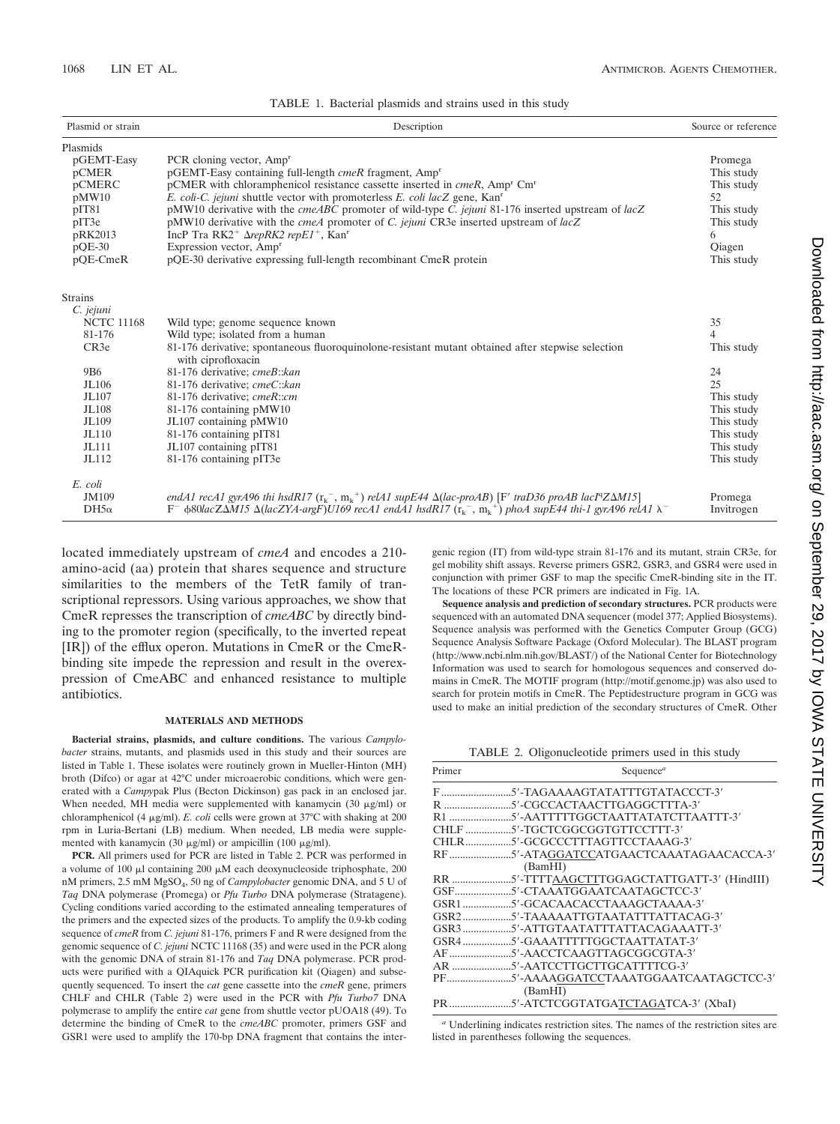| Plasmid or strain | Description                                                                                                                              | Source or reference |
|-------------------|------------------------------------------------------------------------------------------------------------------------------------------|---------------------|
| Plasmids          |                                                                                                                                          |                     |
| pGEMT-Easy        | PCR cloning vector, Amp <sup>r</sup>                                                                                                     | Promega             |
| pCMER             | pGEMT-Easy containing full-length cmeR fragment, Ampr                                                                                    | This study          |
| pCMERC            | pCMER with chloramphenicol resistance cassette inserted in cmeR, Amp <sup>r</sup> Cm <sup>r</sup>                                        | This study          |
| pMW10             | E. coli-C. jejuni shuttle vector with promoterless E. coli lacZ gene, Kan'                                                               | 52                  |
| pIT81             | pMW10 derivative with the <i>cmeABC</i> promoter of wild-type C. jejuni 81-176 inserted upstream of $lacZ$                               | This study          |
| pIT3e             | pMW10 derivative with the <i>cmeA</i> promoter of C. jejuni CR3e inserted upstream of $lacZ$                                             | This study          |
| pRK2013           | IncP Tra RK2 <sup>+</sup> $\Delta$ repRK2 repE1 <sup>+</sup> , Kan <sup>r</sup>                                                          | 6                   |
| $pQE-30$          | Expression vector, Amp <sup>r</sup>                                                                                                      | Qiagen              |
| pQE-CmeR          | pQE-30 derivative expressing full-length recombinant CmeR protein                                                                        | This study          |
| <b>Strains</b>    |                                                                                                                                          |                     |
| C. jejuni         |                                                                                                                                          |                     |
| <b>NCTC 11168</b> | Wild type; genome sequence known                                                                                                         | 35                  |
| 81-176            | Wild type; isolated from a human                                                                                                         | $\overline{4}$      |
| CR <sub>3e</sub>  | 81-176 derivative; spontaneous fluoroquinolone-resistant mutant obtained after stepwise selection<br>with ciprofloxacin                  | This study          |
| 9B <sub>6</sub>   | 81-176 derivative; cmeB::kan                                                                                                             | 24                  |
| <b>JL106</b>      | 81-176 derivative; cmeC::kan                                                                                                             | 25                  |
| JL107             | 81-176 derivative; cmeR::cm                                                                                                              | This study          |
| <b>JL108</b>      | 81-176 containing pMW10                                                                                                                  | This study          |
| JL109             | JL107 containing pMW10                                                                                                                   | This study          |
| <b>JL110</b>      | 81-176 containing pIT81                                                                                                                  | This study          |
| <b>JL111</b>      | JL107 containing pIT81                                                                                                                   | This study          |
| <b>JL112</b>      | 81-176 containing pIT3e                                                                                                                  | This study          |
| E. coli           |                                                                                                                                          |                     |
| JM109             | endA1 recA1 gyrA96 thi hsdR17 $(r_k^-, m_k^+)$ relA1 supE44 $\Delta (lac$ -proAB) [F' traD36 proAB lacI <sup>q</sup> Z $\Delta M15$ ]    | Promega             |
| $DH5\alpha$       | $F^ \phi$ 80lacZ $\Delta M$ 15 $\Delta$ (lacZYA-argF)U169 recA1 endA1 hsdR17 $(r_k^-, m_k^+)$ phoA supE44 thi-1 gyrA96 relA1 $\lambda^-$ | Invitrogen          |

TABLE 1. Bacterial plasmids and strains used in this study

located immediately upstream of *cmeA* and encodes a 210 amino-acid (aa) protein that shares sequence and structure similarities to the members of the TetR family of transcriptional repressors. Using various approaches, we show that CmeR represses the transcription of *cmeABC* by directly binding to the promoter region (specifically, to the inverted repeat [IR]) of the efflux operon. Mutations in CmeR or the CmeRbinding site impede the repression and result in the overexpression of CmeABC and enhanced resistance to multiple antibiotics.

### **MATERIALS AND METHODS**

**Bacterial strains, plasmids, and culture conditions.** The various *Campylobacter* strains, mutants, and plasmids used in this study and their sources are listed in Table 1. These isolates were routinely grown in Mueller-Hinton (MH) broth (Difco) or agar at 42°C under microaerobic conditions, which were generated with a *Campy*pak Plus (Becton Dickinson) gas pack in an enclosed jar. When needed, MH media were supplemented with kanamycin  $(30 \mu g/ml)$  or chloramphenicol (4  $\mu$ g/ml). *E. coli* cells were grown at 37°C with shaking at 200 rpm in Luria-Bertani (LB) medium. When needed, LB media were supplemented with kanamycin (30  $\mu$ g/ml) or ampicillin (100  $\mu$ g/ml).

**PCR.** All primers used for PCR are listed in Table 2. PCR was performed in a volume of 100  $\mu$ l containing 200  $\mu$ M each deoxynucleoside triphosphate, 200 nM primers, 2.5 mM MgSO<sub>4</sub>, 50 ng of *Campylobacter* genomic DNA, and 5 U of *Taq* DNA polymerase (Promega) or *Pfu Turbo* DNA polymerase (Stratagene). Cycling conditions varied according to the estimated annealing temperatures of the primers and the expected sizes of the products. To amplify the 0.9-kb coding sequence of *cmeR* from *C. jejuni* 81-176, primers F and R were designed from the genomic sequence of *C. jejuni* NCTC 11168 (35) and were used in the PCR along with the genomic DNA of strain 81-176 and *Taq* DNA polymerase. PCR products were purified with a QIAquick PCR purification kit (Qiagen) and subsequently sequenced. To insert the *cat* gene cassette into the *cmeR* gene, primers CHLF and CHLR (Table 2) were used in the PCR with *Pfu Turbo7* DNA polymerase to amplify the entire *cat* gene from shuttle vector pUOA18 (49). To determine the binding of CmeR to the *cmeABC* promoter, primers GSF and GSR1 were used to amplify the 170-bp DNA fragment that contains the intergenic region (IT) from wild-type strain 81-176 and its mutant, strain CR3e, for gel mobility shift assays. Reverse primers GSR2, GSR3, and GSR4 were used in conjunction with primer GSF to map the specific CmeR-binding site in the IT. The locations of these PCR primers are indicated in Fig. 1A.

**Sequence analysis and prediction of secondary structures.** PCR products were sequenced with an automated DNA sequencer (model 377; Applied Biosystems). Sequence analysis was performed with the Genetics Computer Group (GCG) Sequence Analysis Software Package (Oxford Molecular). The BLAST program (http://www.ncbi.nlm.nih.gov/BLAST/) of the National Center for Biotechnology Information was used to search for homologous sequences and conserved domains in CmeR. The MOTIF program (http://motif.genome.jp) was also used to search for protein motifs in CmeR. The Peptidestructure program in GCG was used to make an initial prediction of the secondary structures of CmeR. Other

TABLE 2. Oligonucleotide primers used in this study

| Primer | Sequence <sup><math>a</math></sup> |
|--------|------------------------------------|
|        |                                    |
|        |                                    |
|        |                                    |
|        |                                    |
|        |                                    |
|        |                                    |
|        | (BamHI)                            |
|        |                                    |
|        |                                    |
|        |                                    |
|        |                                    |
|        |                                    |
|        |                                    |
|        |                                    |
|        |                                    |
|        |                                    |
|        | (BamHI)                            |
|        |                                    |
|        |                                    |

Downloaded from http://aac.asm.org/ on September 29, 2017 by IOWA STATE UNIVERSITY on September 29, 2017 by IOWA STATE UNIVERSITY <http://aac.asm.org/> Downloaded from

*<sup>a</sup>* Underlining indicates restriction sites. The names of the restriction sites are listed in parentheses following the sequences.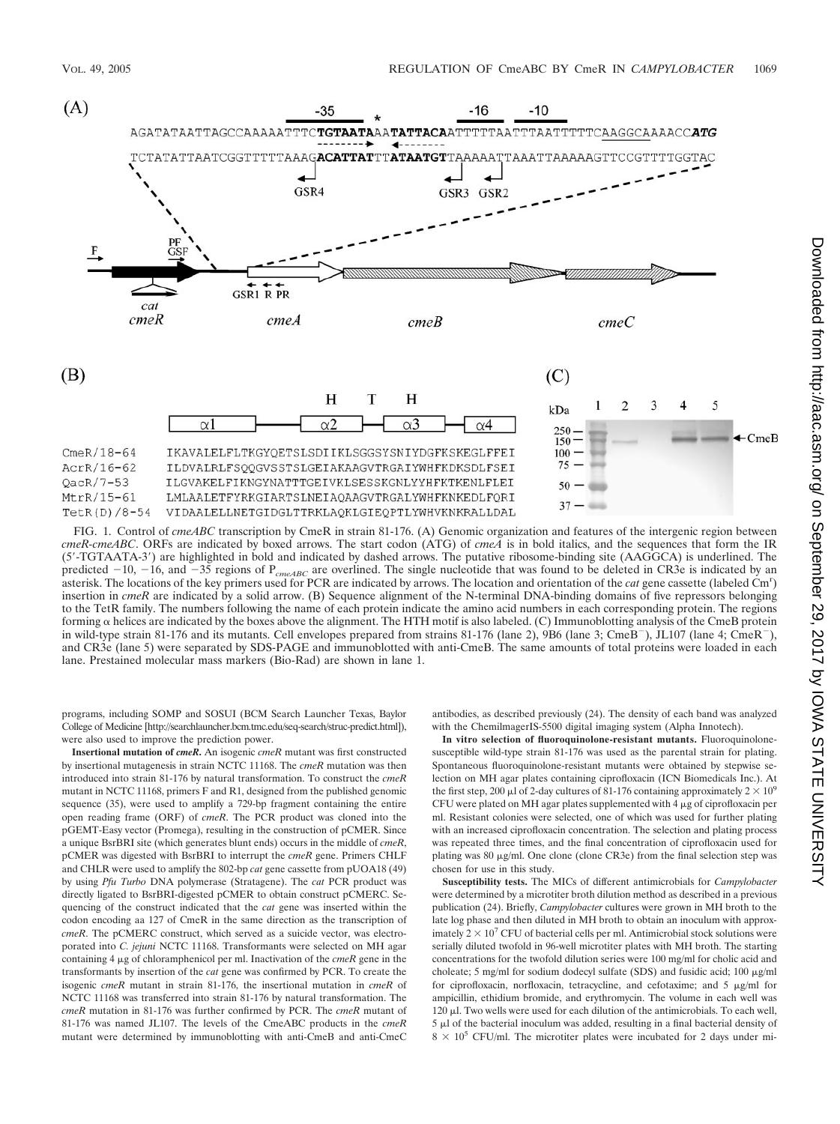

FIG. 1. Control of *cmeABC* transcription by CmeR in strain 81-176. (A) Genomic organization and features of the intergenic region between *cmeR-cmeABC*. ORFs are indicated by boxed arrows. The start codon (ATG) of *cmeA* is in bold italics, and the sequences that form the IR (5-TGTAATA-3) are highlighted in bold and indicated by dashed arrows. The putative ribosome-binding site (AAGGCA) is underlined. The predicted  $-10$ ,  $-16$ , and  $-35$  regions of P<sub>cmeABC</sub> are overlined. The single nucleotide that was found to be deleted in CR3e is indicated by an asterisk. The locations of the key primers used for PCR are indicated by arrows. The location and orientation of the *cat* gene cassette (labeled Cmr ) insertion in *cmeR* are indicated by a solid arrow. (B) Sequence alignment of the N-terminal DNA-binding domains of five repressors belonging to the TetR family. The numbers following the name of each protein indicate the amino acid numbers in each corresponding protein. The regions forming  $\alpha$  helices are indicated by the boxes above the alignment. The HTH motif is also labeled. (C) Immunoblotting analysis of the CmeB protein in wild-type strain 81-176 and its mutants. Cell envelopes prepared from strains 81-176 (lane 2), 9B6 (lane 3; CmeB<sup>-</sup>), JL107 (lane 4; CmeR<sup>-</sup>), and CR3e (lane 5) were separated by SDS-PAGE and immunoblotted with anti-CmeB. The same amounts of total proteins were loaded in each lane. Prestained molecular mass markers (Bio-Rad) are shown in lane 1.

programs, including SOMP and SOSUI (BCM Search Launcher Texas, Baylor College of Medicine [http://searchlauncher.bcm.tmc.edu/seq-search/struc-predict.html]), were also used to improve the prediction power.

**Insertional mutation of** *cmeR***.** An isogenic *cmeR* mutant was first constructed by insertional mutagenesis in strain NCTC 11168. The *cmeR* mutation was then introduced into strain 81-176 by natural transformation. To construct the *cmeR* mutant in NCTC 11168, primers F and R1, designed from the published genomic sequence (35), were used to amplify a 729-bp fragment containing the entire open reading frame (ORF) of *cmeR*. The PCR product was cloned into the pGEMT-Easy vector (Promega), resulting in the construction of pCMER. Since a unique BsrBRI site (which generates blunt ends) occurs in the middle of *cmeR*, pCMER was digested with BsrBRI to interrupt the *cmeR* gene. Primers CHLF and CHLR were used to amplify the 802-bp *cat* gene cassette from pUOA18 (49) by using *Pfu Turbo* DNA polymerase (Stratagene). The *cat* PCR product was directly ligated to BsrBRI-digested pCMER to obtain construct pCMERC. Sequencing of the construct indicated that the *cat* gene was inserted within the codon encoding aa 127 of CmeR in the same direction as the transcription of *cmeR*. The pCMERC construct, which served as a suicide vector, was electroporated into *C. jejuni* NCTC 11168. Transformants were selected on MH agar containing 4  $\mu$ g of chloramphenicol per ml. Inactivation of the *cmeR* gene in the transformants by insertion of the *cat* gene was confirmed by PCR. To create the isogenic *cmeR* mutant in strain 81-176, the insertional mutation in *cmeR* of NCTC 11168 was transferred into strain 81-176 by natural transformation. The *cmeR* mutation in 81-176 was further confirmed by PCR. The *cmeR* mutant of 81-176 was named JL107. The levels of the CmeABC products in the *cmeR* mutant were determined by immunoblotting with anti-CmeB and anti-CmeC antibodies, as described previously (24). The density of each band was analyzed with the ChemilmagerIS-5500 digital imaging system (Alpha Innotech).

**In vitro selection of fluoroquinolone-resistant mutants.** Fluoroquinolonesusceptible wild-type strain 81-176 was used as the parental strain for plating. Spontaneous fluoroquinolone-resistant mutants were obtained by stepwise selection on MH agar plates containing ciprofloxacin (ICN Biomedicals Inc.). At the first step, 200  $\mu$ l of 2-day cultures of 81-176 containing approximately 2  $\times$  10<sup>9</sup> CFU were plated on MH agar plates supplemented with  $4 \mu$ g of ciprofloxacin per ml. Resistant colonies were selected, one of which was used for further plating with an increased ciprofloxacin concentration. The selection and plating process was repeated three times, and the final concentration of ciprofloxacin used for plating was 80  $\mu$ g/ml. One clone (clone CR3e) from the final selection step was chosen for use in this study.

**Susceptibility tests.** The MICs of different antimicrobials for *Campylobacter* were determined by a microtiter broth dilution method as described in a previous publication (24). Briefly, *Campylobacter* cultures were grown in MH broth to the late log phase and then diluted in MH broth to obtain an inoculum with approximately  $2 \times 10^7$  CFU of bacterial cells per ml. Antimicrobial stock solutions were serially diluted twofold in 96-well microtiter plates with MH broth. The starting concentrations for the twofold dilution series were 100 mg/ml for cholic acid and choleate; 5 mg/ml for sodium dodecyl sulfate (SDS) and fusidic acid;  $100 \mu g/ml$ for ciprofloxacin, norfloxacin, tetracycline, and cefotaxime; and  $5 \mu g/ml$  for ampicillin, ethidium bromide, and erythromycin. The volume in each well was  $120 \mu$ . Two wells were used for each dilution of the antimicrobials. To each well,  $5 \mu$ l of the bacterial inoculum was added, resulting in a final bacterial density of  $8 \times 10^5$  CFU/ml. The microtiter plates were incubated for 2 days under mi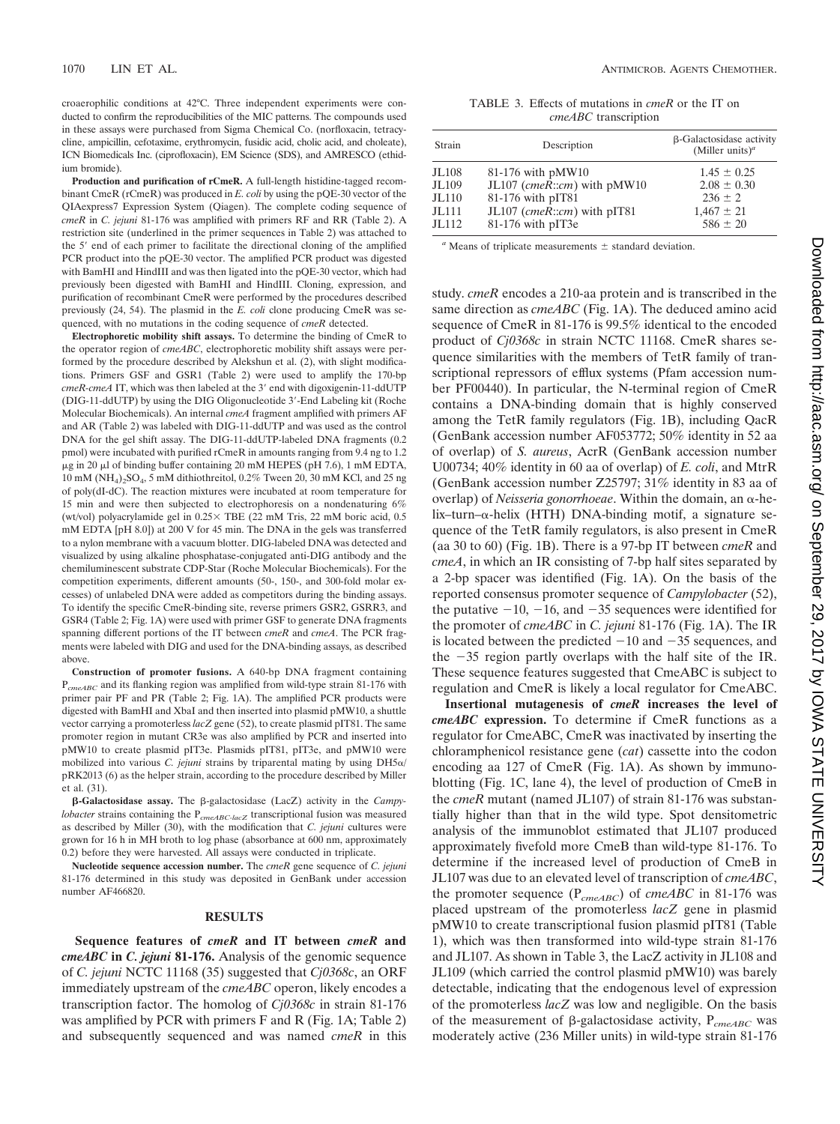croaerophilic conditions at 42°C. Three independent experiments were conducted to confirm the reproducibilities of the MIC patterns. The compounds used in these assays were purchased from Sigma Chemical Co. (norfloxacin, tetracycline, ampicillin, cefotaxime, erythromycin, fusidic acid, cholic acid, and choleate), ICN Biomedicals Inc. (ciprofloxacin), EM Science (SDS), and AMRESCO (ethidium bromide).

**Production and purification of rCmeR.** A full-length histidine-tagged recombinant CmeR (rCmeR) was produced in *E. coli* by using the pQE-30 vector of the QIAexpress7 Expression System (Qiagen). The complete coding sequence of *cmeR* in *C. jejuni* 81-176 was amplified with primers RF and RR (Table 2). A restriction site (underlined in the primer sequences in Table 2) was attached to the 5' end of each primer to facilitate the directional cloning of the amplified PCR product into the pQE-30 vector. The amplified PCR product was digested with BamHI and HindIII and was then ligated into the pQE-30 vector, which had previously been digested with BamHI and HindIII. Cloning, expression, and purification of recombinant CmeR were performed by the procedures described previously (24, 54). The plasmid in the *E. coli* clone producing CmeR was sequenced, with no mutations in the coding sequence of *cmeR* detected.

**Electrophoretic mobility shift assays.** To determine the binding of CmeR to the operator region of *cmeABC*, electrophoretic mobility shift assays were performed by the procedure described by Alekshun et al. (2), with slight modifications. Primers GSF and GSR1 (Table 2) were used to amplify the 170-bp *cmeR-cmeA* IT, which was then labeled at the 3' end with digoxigenin-11-ddUTP (DIG-11-ddUTP) by using the DIG Oligonucleotide 3-End Labeling kit (Roche Molecular Biochemicals). An internal *cmeA* fragment amplified with primers AF and AR (Table 2) was labeled with DIG-11-ddUTP and was used as the control DNA for the gel shift assay. The DIG-11-ddUTP-labeled DNA fragments (0.2 pmol) were incubated with purified rCmeR in amounts ranging from 9.4 ng to 1.2 μg in 20 μl of binding buffer containing 20 mM HEPES (pH 7.6), 1 mM EDTA,  $10 \text{ mM } (NH_4)$ <sub>2</sub>SO<sub>4</sub>, 5 mM dithiothreitol, 0.2% Tween 20, 30 mM KCl, and 25 ng of poly(dI-dC). The reaction mixtures were incubated at room temperature for 15 min and were then subjected to electrophoresis on a nondenaturing 6% (wt/vol) polyacrylamide gel in  $0.25 \times$  TBE (22 mM Tris, 22 mM boric acid, 0.5 mM EDTA [pH 8.0]) at 200 V for 45 min. The DNA in the gels was transferred to a nylon membrane with a vacuum blotter. DIG-labeled DNA was detected and visualized by using alkaline phosphatase-conjugated anti-DIG antibody and the chemiluminescent substrate CDP-Star (Roche Molecular Biochemicals). For the competition experiments, different amounts (50-, 150-, and 300-fold molar excesses) of unlabeled DNA were added as competitors during the binding assays. To identify the specific CmeR-binding site, reverse primers GSR2, GSRR3, and GSR4 (Table 2; Fig. 1A) were used with primer GSF to generate DNA fragments spanning different portions of the IT between *cmeR* and *cmeA*. The PCR fragments were labeled with DIG and used for the DNA-binding assays, as described above.

**Construction of promoter fusions.** A 640-bp DNA fragment containing P*cmeABC* and its flanking region was amplified from wild-type strain 81-176 with primer pair PF and PR (Table 2; Fig. 1A). The amplified PCR products were digested with BamHI and XbaI and then inserted into plasmid pMW10, a shuttle vector carrying a promoterless *lacZ* gene (52), to create plasmid pIT81. The same promoter region in mutant CR3e was also amplified by PCR and inserted into pMW10 to create plasmid pIT3e. Plasmids pIT81, pIT3e, and pMW10 were mobilized into various *C. jejuni* strains by triparental mating by using  $DH5\alpha$ / pRK2013 (6) as the helper strain, according to the procedure described by Miller et al. (31).

**β-Galactosidase assay.** The β-galactosidase (LacZ) activity in the *Campylobacter* strains containing the P*cmeABC-lacZ* transcriptional fusion was measured as described by Miller (30), with the modification that *C. jejuni* cultures were grown for 16 h in MH broth to log phase (absorbance at 600 nm, approximately 0.2) before they were harvested. All assays were conducted in triplicate.

**Nucleotide sequence accession number.** The *cmeR* gene sequence of *C. jejuni* 81-176 determined in this study was deposited in GenBank under accession number AF466820.

### **RESULTS**

**Sequence features of** *cmeR* **and IT between** *cmeR* **and** *cmeABC* **in** *C. jejuni* **81-176.** Analysis of the genomic sequence of *C. jejuni* NCTC 11168 (35) suggested that *Cj0368c*, an ORF immediately upstream of the *cmeABC* operon, likely encodes a transcription factor. The homolog of *Cj0368c* in strain 81-176 was amplified by PCR with primers F and R (Fig. 1A; Table 2) and subsequently sequenced and was named *cmeR* in this

TABLE 3. Effects of mutations in *cmeR* or the IT on *cmeABC* transcription

| Strain | Description                     | β-Galactosidase activity<br>(Miller units) <sup>a</sup> |
|--------|---------------------------------|---------------------------------------------------------|
| JL108  | 81-176 with pMW10               | $1.45 \pm 0.25$                                         |
| JL109  | JL107 (cmeR::cm) with $pMW10$   | $2.08 \pm 0.30$                                         |
| JL110  | 81-176 with pIT81               | $236 \pm 2$                                             |
| JL111  | JL107 ( $cmeR::cm$ ) with pIT81 | $1,467 \pm 21$                                          |
| JL112  | 81-176 with pIT3e               | $586 \pm 20$                                            |

 $a$  Means of triplicate measurements  $\pm$  standard deviation.

study. *cmeR* encodes a 210-aa protein and is transcribed in the same direction as *cmeABC* (Fig. 1A). The deduced amino acid sequence of CmeR in 81-176 is 99.5% identical to the encoded product of *Cj0368c* in strain NCTC 11168. CmeR shares sequence similarities with the members of TetR family of transcriptional repressors of efflux systems (Pfam accession number PF00440). In particular, the N-terminal region of CmeR contains a DNA-binding domain that is highly conserved among the TetR family regulators (Fig. 1B), including QacR (GenBank accession number AF053772; 50% identity in 52 aa of overlap) of *S. aureus*, AcrR (GenBank accession number U00734; 40% identity in 60 aa of overlap) of *E. coli*, and MtrR (GenBank accession number Z25797; 31% identity in 83 aa of overlap) of *Neisseria gonorrhoeae*. Within the domain, an  $\alpha$ -helix–turn– $\alpha$ -helix (HTH) DNA-binding motif, a signature sequence of the TetR family regulators, is also present in CmeR (aa 30 to 60) (Fig. 1B). There is a 97-bp IT between *cmeR* and *cmeA*, in which an IR consisting of 7-bp half sites separated by a 2-bp spacer was identified (Fig. 1A). On the basis of the reported consensus promoter sequence of *Campylobacter* (52), the putative  $-10$ ,  $-16$ , and  $-35$  sequences were identified for the promoter of *cmeABC* in *C. jejuni* 81-176 (Fig. 1A). The IR is located between the predicted  $-10$  and  $-35$  sequences, and the  $-35$  region partly overlaps with the half site of the IR. These sequence features suggested that CmeABC is subject to regulation and CmeR is likely a local regulator for CmeABC.

**Insertional mutagenesis of** *cmeR* **increases the level of** *cmeABC* **expression.** To determine if CmeR functions as a regulator for CmeABC, CmeR was inactivated by inserting the chloramphenicol resistance gene (*cat*) cassette into the codon encoding aa 127 of CmeR (Fig. 1A). As shown by immunoblotting (Fig. 1C, lane 4), the level of production of CmeB in the *cmeR* mutant (named JL107) of strain 81-176 was substantially higher than that in the wild type. Spot densitometric analysis of the immunoblot estimated that JL107 produced approximately fivefold more CmeB than wild-type 81-176. To determine if the increased level of production of CmeB in JL107 was due to an elevated level of transcription of *cmeABC*, the promoter sequence (P*cmeABC*) of *cmeABC* in 81-176 was placed upstream of the promoterless *lacZ* gene in plasmid pMW10 to create transcriptional fusion plasmid pIT81 (Table 1), which was then transformed into wild-type strain 81-176 and JL107. As shown in Table 3, the LacZ activity in JL108 and JL109 (which carried the control plasmid pMW10) was barely detectable, indicating that the endogenous level of expression of the promoterless *lacZ* was low and negligible. On the basis of the measurement of β-galactosidase activity, P<sub>cmeABC</sub> was moderately active (236 Miller units) in wild-type strain 81-176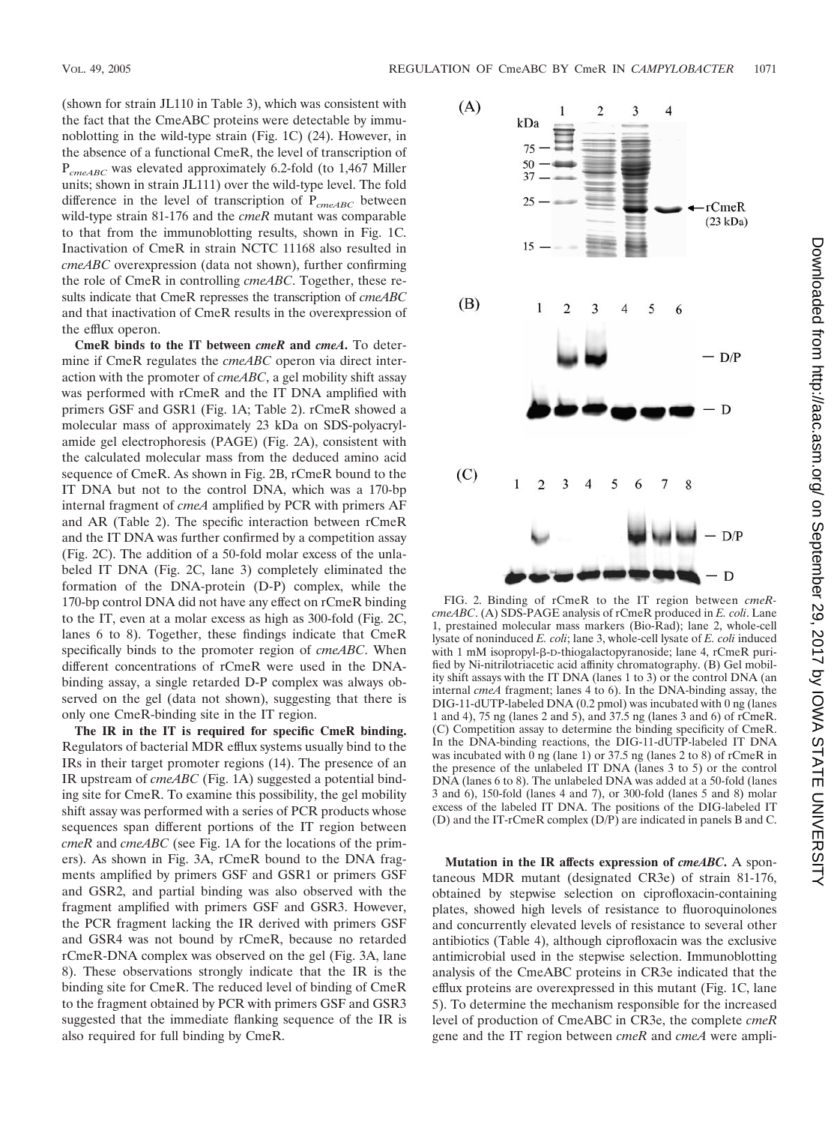(shown for strain JL110 in Table 3), which was consistent with the fact that the CmeABC proteins were detectable by immunoblotting in the wild-type strain (Fig. 1C) (24). However, in the absence of a functional CmeR, the level of transcription of P*cmeABC* was elevated approximately 6.2-fold (to 1,467 Miller units; shown in strain JL111) over the wild-type level. The fold difference in the level of transcription of P*cmeABC* between wild-type strain 81-176 and the *cmeR* mutant was comparable to that from the immunoblotting results, shown in Fig. 1C. Inactivation of CmeR in strain NCTC 11168 also resulted in *cmeABC* overexpression (data not shown), further confirming the role of CmeR in controlling *cmeABC*. Together, these results indicate that CmeR represses the transcription of *cmeABC* and that inactivation of CmeR results in the overexpression of the efflux operon.

**CmeR binds to the IT between** *cmeR* **and** *cmeA***.** To determine if CmeR regulates the *cmeABC* operon via direct interaction with the promoter of *cmeABC*, a gel mobility shift assay was performed with rCmeR and the IT DNA amplified with primers GSF and GSR1 (Fig. 1A; Table 2). rCmeR showed a molecular mass of approximately 23 kDa on SDS-polyacrylamide gel electrophoresis (PAGE) (Fig. 2A), consistent with the calculated molecular mass from the deduced amino acid sequence of CmeR. As shown in Fig. 2B, rCmeR bound to the IT DNA but not to the control DNA, which was a 170-bp internal fragment of *cmeA* amplified by PCR with primers AF and AR (Table 2). The specific interaction between rCmeR and the IT DNA was further confirmed by a competition assay (Fig. 2C). The addition of a 50-fold molar excess of the unlabeled IT DNA (Fig. 2C, lane 3) completely eliminated the formation of the DNA-protein (D-P) complex, while the 170-bp control DNA did not have any effect on rCmeR binding to the IT, even at a molar excess as high as 300-fold (Fig. 2C, lanes 6 to 8). Together, these findings indicate that CmeR specifically binds to the promoter region of *cmeABC*. When different concentrations of rCmeR were used in the DNAbinding assay, a single retarded D-P complex was always observed on the gel (data not shown), suggesting that there is only one CmeR-binding site in the IT region.

**The IR in the IT is required for specific CmeR binding.** Regulators of bacterial MDR efflux systems usually bind to the IRs in their target promoter regions (14). The presence of an IR upstream of *cmeABC* (Fig. 1A) suggested a potential binding site for CmeR. To examine this possibility, the gel mobility shift assay was performed with a series of PCR products whose sequences span different portions of the IT region between *cmeR* and *cmeABC* (see Fig. 1A for the locations of the primers). As shown in Fig. 3A, rCmeR bound to the DNA fragments amplified by primers GSF and GSR1 or primers GSF and GSR2, and partial binding was also observed with the fragment amplified with primers GSF and GSR3. However, the PCR fragment lacking the IR derived with primers GSF and GSR4 was not bound by rCmeR, because no retarded rCmeR-DNA complex was observed on the gel (Fig. 3A, lane 8). These observations strongly indicate that the IR is the binding site for CmeR. The reduced level of binding of CmeR to the fragment obtained by PCR with primers GSF and GSR3 suggested that the immediate flanking sequence of the IR is also required for full binding by CmeR.



FIG. 2. Binding of rCmeR to the IT region between *cmeRcmeABC*. (A) SDS-PAGE analysis of rCmeR produced in *E. coli*. Lane 1, prestained molecular mass markers (Bio-Rad); lane 2, whole-cell lysate of noninduced *E. coli*; lane 3, whole-cell lysate of *E. coli* induced with 1 mM isopropyl-β-D-thiogalactopyranoside; lane 4, rCmeR purified by Ni-nitrilotriacetic acid affinity chromatography. (B) Gel mobility shift assays with the IT DNA (lanes 1 to 3) or the control DNA (an internal *cmeA* fragment; lanes 4 to 6). In the DNA-binding assay, the DIG-11-dUTP-labeled DNA (0.2 pmol) was incubated with 0 ng (lanes 1 and 4), 75 ng (lanes 2 and 5), and 37.5 ng (lanes 3 and 6) of rCmeR. (C) Competition assay to determine the binding specificity of CmeR. In the DNA-binding reactions, the DIG-11-dUTP-labeled IT DNA was incubated with 0 ng (lane 1) or 37.5 ng (lanes 2 to 8) of rCmeR in the presence of the unlabeled IT DNA (lanes 3 to 5) or the control DNA (lanes 6 to 8). The unlabeled DNA was added at a 50-fold (lanes 3 and 6), 150-fold (lanes 4 and 7), or 300-fold (lanes 5 and 8) molar excess of the labeled IT DNA. The positions of the DIG-labeled IT (D) and the IT-rCmeR complex (D/P) are indicated in panels B and C.

**Mutation in the IR affects expression of** *cmeABC***.** A spontaneous MDR mutant (designated CR3e) of strain 81-176, obtained by stepwise selection on ciprofloxacin-containing plates, showed high levels of resistance to fluoroquinolones and concurrently elevated levels of resistance to several other antibiotics (Table 4), although ciprofloxacin was the exclusive antimicrobial used in the stepwise selection. Immunoblotting analysis of the CmeABC proteins in CR3e indicated that the efflux proteins are overexpressed in this mutant (Fig. 1C, lane 5). To determine the mechanism responsible for the increased level of production of CmeABC in CR3e, the complete *cmeR* gene and the IT region between *cmeR* and *cmeA* were ampli-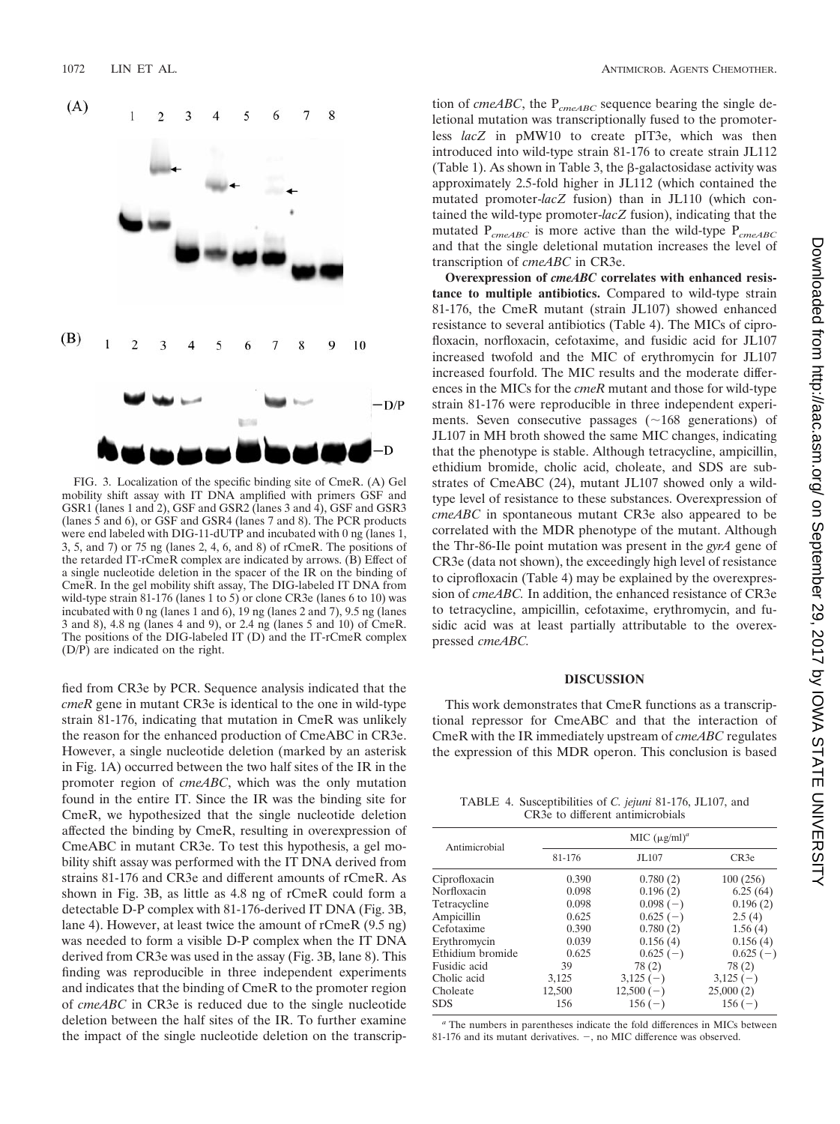

FIG. 3. Localization of the specific binding site of CmeR. (A) Gel mobility shift assay with IT DNA amplified with primers GSF and GSR1 (lanes 1 and 2), GSF and GSR2 (lanes 3 and 4), GSF and GSR3 (lanes 5 and 6), or GSF and GSR4 (lanes 7 and 8). The PCR products were end labeled with DIG-11-dUTP and incubated with 0 ng (lanes 1, 3, 5, and 7) or 75 ng (lanes 2, 4, 6, and 8) of rCmeR. The positions of the retarded IT-rCmeR complex are indicated by arrows. (B) Effect of a single nucleotide deletion in the spacer of the IR on the binding of CmeR. In the gel mobility shift assay, The DIG-labeled IT DNA from wild-type strain 81-176 (lanes 1 to 5) or clone CR3e (lanes 6 to 10) was incubated with 0 ng (lanes 1 and 6), 19 ng (lanes 2 and 7), 9.5 ng (lanes 3 and 8), 4.8 ng (lanes 4 and 9), or 2.4 ng (lanes 5 and 10) of CmeR. The positions of the DIG-labeled IT (D) and the IT-rCmeR complex (D/P) are indicated on the right.

fied from CR3e by PCR. Sequence analysis indicated that the *cmeR* gene in mutant CR3e is identical to the one in wild-type strain 81-176, indicating that mutation in CmeR was unlikely the reason for the enhanced production of CmeABC in CR3e. However, a single nucleotide deletion (marked by an asterisk in Fig. 1A) occurred between the two half sites of the IR in the promoter region of *cmeABC*, which was the only mutation found in the entire IT. Since the IR was the binding site for CmeR, we hypothesized that the single nucleotide deletion affected the binding by CmeR, resulting in overexpression of CmeABC in mutant CR3e. To test this hypothesis, a gel mobility shift assay was performed with the IT DNA derived from strains 81-176 and CR3e and different amounts of rCmeR. As shown in Fig. 3B, as little as 4.8 ng of rCmeR could form a detectable D-P complex with 81-176-derived IT DNA (Fig. 3B, lane 4). However, at least twice the amount of rCmeR (9.5 ng) was needed to form a visible D-P complex when the IT DNA derived from CR3e was used in the assay (Fig. 3B, lane 8). This finding was reproducible in three independent experiments and indicates that the binding of CmeR to the promoter region of *cmeABC* in CR3e is reduced due to the single nucleotide deletion between the half sites of the IR. To further examine the impact of the single nucleotide deletion on the transcription of *cmeABC*, the P*cmeABC* sequence bearing the single deletional mutation was transcriptionally fused to the promoterless *lacZ* in pMW10 to create pIT3e, which was then introduced into wild-type strain 81-176 to create strain JL112 (Table 1). As shown in Table 3, the  $\beta$ -galactosidase activity was approximately 2.5-fold higher in JL112 (which contained the mutated promoter-*lacZ* fusion) than in JL110 (which contained the wild-type promoter-*lacZ* fusion), indicating that the mutated P*cmeABC* is more active than the wild-type P*cmeABC* and that the single deletional mutation increases the level of transcription of *cmeABC* in CR3e.

**Overexpression of** *cmeABC* **correlates with enhanced resistance to multiple antibiotics.** Compared to wild-type strain 81-176, the CmeR mutant (strain JL107) showed enhanced resistance to several antibiotics (Table 4). The MICs of ciprofloxacin, norfloxacin, cefotaxime, and fusidic acid for JL107 increased twofold and the MIC of erythromycin for JL107 increased fourfold. The MIC results and the moderate differences in the MICs for the *cmeR* mutant and those for wild-type strain 81-176 were reproducible in three independent experiments. Seven consecutive passages  $(\sim 168$  generations) of JL107 in MH broth showed the same MIC changes, indicating that the phenotype is stable. Although tetracycline, ampicillin, ethidium bromide, cholic acid, choleate, and SDS are substrates of CmeABC (24), mutant JL107 showed only a wildtype level of resistance to these substances. Overexpression of *cmeABC* in spontaneous mutant CR3e also appeared to be correlated with the MDR phenotype of the mutant. Although the Thr-86-Ile point mutation was present in the *gyrA* gene of CR3e (data not shown), the exceedingly high level of resistance to ciprofloxacin (Table 4) may be explained by the overexpression of *cmeABC.* In addition, the enhanced resistance of CR3e to tetracycline, ampicillin, cefotaxime, erythromycin, and fusidic acid was at least partially attributable to the overexpressed *cmeABC.*

## **DISCUSSION**

This work demonstrates that CmeR functions as a transcriptional repressor for CmeABC and that the interaction of CmeR with the IR immediately upstream of *cmeABC* regulates the expression of this MDR operon. This conclusion is based

TABLE 4. Susceptibilities of *C. jejuni* 81-176, JL107, and CR3e to different antimicrobials

| Antimicrobial    | MIC $(\mu g/ml)^a$ |             |            |  |
|------------------|--------------------|-------------|------------|--|
|                  | 81-176             | JL107       | CR3e       |  |
| Ciprofloxacin    | 0.390              | 0.780(2)    | 100(256)   |  |
| Norfloxacin      | 0.098              | 0.196(2)    | 6.25(64)   |  |
| Tetracycline     | 0.098              | $0.098(-)$  | 0.196(2)   |  |
| Ampicillin       | 0.625              | $0.625(-)$  | 2.5(4)     |  |
| Cefotaxime       | 0.390              | 0.780(2)    | 1.56(4)    |  |
| Erythromycin     | 0.039              | 0.156(4)    | 0.156(4)   |  |
| Ethidium bromide | 0.625              | $0.625(-)$  | $0.625(-)$ |  |
| Fusidic acid     | 39                 | 78(2)       | 78(2)      |  |
| Cholic acid      | 3,125              | $3,125(-)$  | $3,125(-)$ |  |
| Choleate         | 12,500             | $12,500(-)$ | 25,000(2)  |  |
| SDS              | 156                | $156(-)$    | $156(-)$   |  |
|                  |                    |             |            |  |

*<sup>a</sup>* The numbers in parentheses indicate the fold differences in MICs between 81-176 and its mutant derivatives.  $-$ , no MIC difference was observed.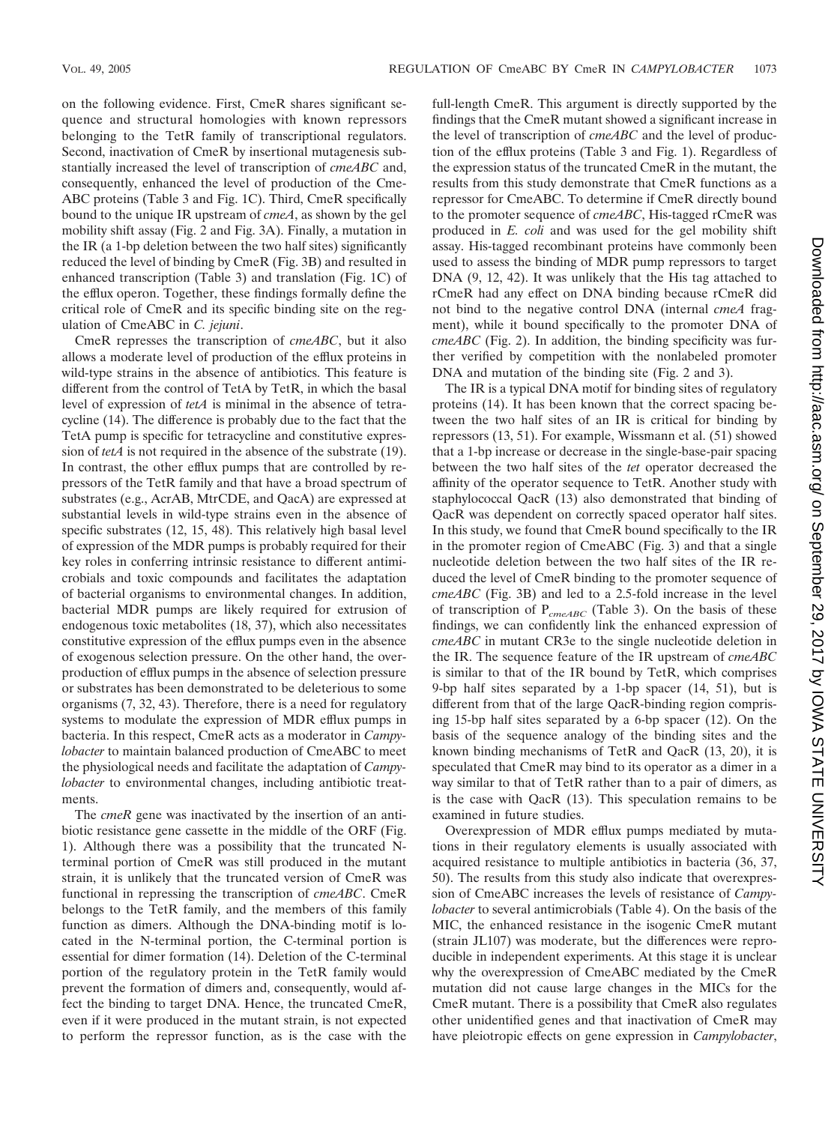on the following evidence. First, CmeR shares significant sequence and structural homologies with known repressors belonging to the TetR family of transcriptional regulators. Second, inactivation of CmeR by insertional mutagenesis substantially increased the level of transcription of *cmeABC* and, consequently, enhanced the level of production of the Cme-ABC proteins (Table 3 and Fig. 1C). Third, CmeR specifically bound to the unique IR upstream of *cmeA*, as shown by the gel mobility shift assay (Fig. 2 and Fig. 3A). Finally, a mutation in the IR (a 1-bp deletion between the two half sites) significantly reduced the level of binding by CmeR (Fig. 3B) and resulted in enhanced transcription (Table 3) and translation (Fig. 1C) of the efflux operon. Together, these findings formally define the critical role of CmeR and its specific binding site on the regulation of CmeABC in *C. jejuni*.

CmeR represses the transcription of *cmeABC*, but it also allows a moderate level of production of the efflux proteins in wild-type strains in the absence of antibiotics. This feature is different from the control of TetA by TetR, in which the basal level of expression of *tetA* is minimal in the absence of tetracycline (14). The difference is probably due to the fact that the TetA pump is specific for tetracycline and constitutive expression of *tetA* is not required in the absence of the substrate (19). In contrast, the other efflux pumps that are controlled by repressors of the TetR family and that have a broad spectrum of substrates (e.g., AcrAB, MtrCDE, and QacA) are expressed at substantial levels in wild-type strains even in the absence of specific substrates (12, 15, 48). This relatively high basal level of expression of the MDR pumps is probably required for their key roles in conferring intrinsic resistance to different antimicrobials and toxic compounds and facilitates the adaptation of bacterial organisms to environmental changes. In addition, bacterial MDR pumps are likely required for extrusion of endogenous toxic metabolites (18, 37), which also necessitates constitutive expression of the efflux pumps even in the absence of exogenous selection pressure. On the other hand, the overproduction of efflux pumps in the absence of selection pressure or substrates has been demonstrated to be deleterious to some organisms (7, 32, 43). Therefore, there is a need for regulatory systems to modulate the expression of MDR efflux pumps in bacteria. In this respect, CmeR acts as a moderator in *Campylobacter* to maintain balanced production of CmeABC to meet the physiological needs and facilitate the adaptation of *Campylobacter* to environmental changes, including antibiotic treatments.

The *cmeR* gene was inactivated by the insertion of an antibiotic resistance gene cassette in the middle of the ORF (Fig. 1). Although there was a possibility that the truncated Nterminal portion of CmeR was still produced in the mutant strain, it is unlikely that the truncated version of CmeR was functional in repressing the transcription of *cmeABC*. CmeR belongs to the TetR family, and the members of this family function as dimers. Although the DNA-binding motif is located in the N-terminal portion, the C-terminal portion is essential for dimer formation (14). Deletion of the C-terminal portion of the regulatory protein in the TetR family would prevent the formation of dimers and, consequently, would affect the binding to target DNA. Hence, the truncated CmeR, even if it were produced in the mutant strain, is not expected to perform the repressor function, as is the case with the

full-length CmeR. This argument is directly supported by the findings that the CmeR mutant showed a significant increase in the level of transcription of *cmeABC* and the level of production of the efflux proteins (Table 3 and Fig. 1). Regardless of the expression status of the truncated CmeR in the mutant, the results from this study demonstrate that CmeR functions as a repressor for CmeABC. To determine if CmeR directly bound to the promoter sequence of *cmeABC*, His-tagged rCmeR was produced in *E. coli* and was used for the gel mobility shift assay. His-tagged recombinant proteins have commonly been used to assess the binding of MDR pump repressors to target DNA  $(9, 12, 42)$ . It was unlikely that the His tag attached to rCmeR had any effect on DNA binding because rCmeR did not bind to the negative control DNA (internal *cmeA* fragment), while it bound specifically to the promoter DNA of *cmeABC* (Fig. 2). In addition, the binding specificity was further verified by competition with the nonlabeled promoter DNA and mutation of the binding site (Fig. 2 and 3).

The IR is a typical DNA motif for binding sites of regulatory proteins (14). It has been known that the correct spacing between the two half sites of an IR is critical for binding by repressors (13, 51). For example, Wissmann et al. (51) showed that a 1-bp increase or decrease in the single-base-pair spacing between the two half sites of the *tet* operator decreased the affinity of the operator sequence to TetR. Another study with staphylococcal QacR (13) also demonstrated that binding of QacR was dependent on correctly spaced operator half sites. In this study, we found that CmeR bound specifically to the IR in the promoter region of CmeABC (Fig. 3) and that a single nucleotide deletion between the two half sites of the IR reduced the level of CmeR binding to the promoter sequence of *cmeABC* (Fig. 3B) and led to a 2.5-fold increase in the level of transcription of P*cmeABC* (Table 3). On the basis of these findings, we can confidently link the enhanced expression of *cmeABC* in mutant CR3e to the single nucleotide deletion in the IR. The sequence feature of the IR upstream of *cmeABC* is similar to that of the IR bound by TetR, which comprises 9-bp half sites separated by a 1-bp spacer (14, 51), but is different from that of the large QacR-binding region comprising 15-bp half sites separated by a 6-bp spacer (12). On the basis of the sequence analogy of the binding sites and the known binding mechanisms of TetR and QacR (13, 20), it is speculated that CmeR may bind to its operator as a dimer in a way similar to that of TetR rather than to a pair of dimers, as is the case with QacR (13). This speculation remains to be examined in future studies.

Overexpression of MDR efflux pumps mediated by mutations in their regulatory elements is usually associated with acquired resistance to multiple antibiotics in bacteria (36, 37, 50). The results from this study also indicate that overexpression of CmeABC increases the levels of resistance of *Campylobacter* to several antimicrobials (Table 4). On the basis of the MIC, the enhanced resistance in the isogenic CmeR mutant (strain JL107) was moderate, but the differences were reproducible in independent experiments. At this stage it is unclear why the overexpression of CmeABC mediated by the CmeR mutation did not cause large changes in the MICs for the CmeR mutant. There is a possibility that CmeR also regulates other unidentified genes and that inactivation of CmeR may have pleiotropic effects on gene expression in *Campylobacter*,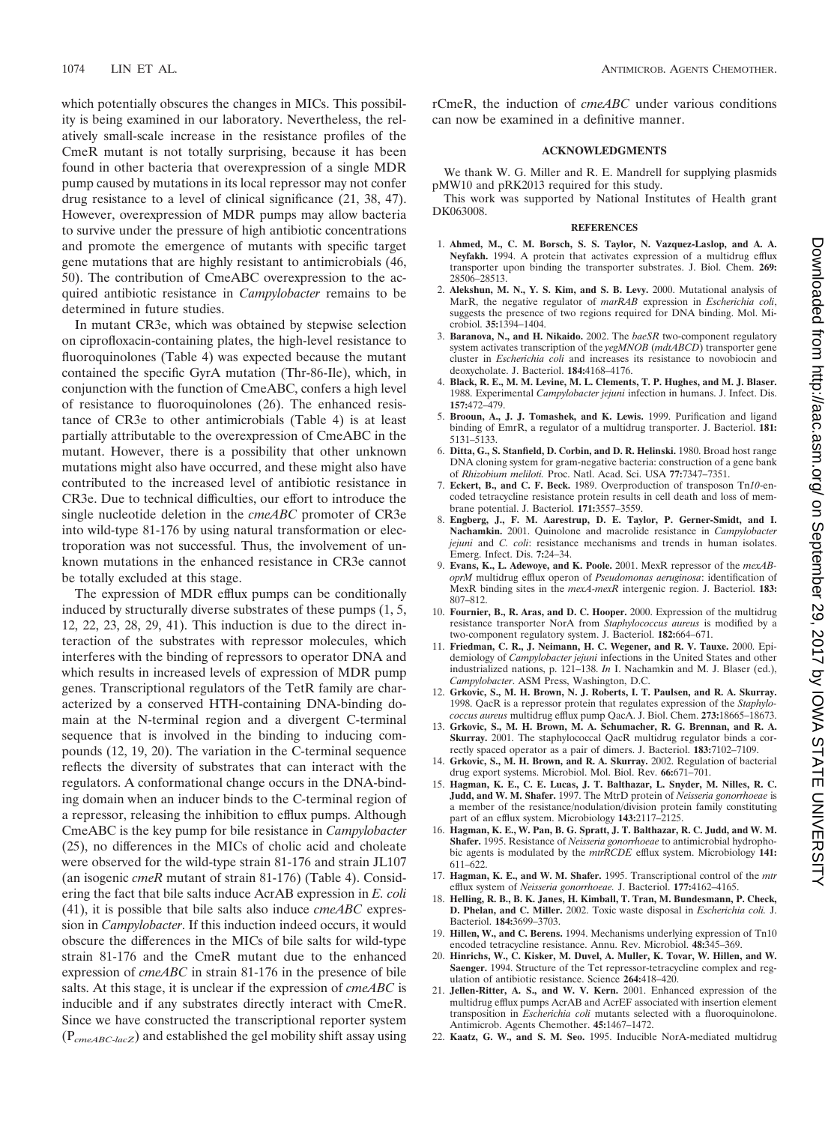which potentially obscures the changes in MICs. This possibility is being examined in our laboratory. Nevertheless, the relatively small-scale increase in the resistance profiles of the CmeR mutant is not totally surprising, because it has been found in other bacteria that overexpression of a single MDR pump caused by mutations in its local repressor may not confer drug resistance to a level of clinical significance (21, 38, 47). However, overexpression of MDR pumps may allow bacteria to survive under the pressure of high antibiotic concentrations and promote the emergence of mutants with specific target gene mutations that are highly resistant to antimicrobials (46, 50). The contribution of CmeABC overexpression to the acquired antibiotic resistance in *Campylobacter* remains to be determined in future studies.

In mutant CR3e, which was obtained by stepwise selection on ciprofloxacin-containing plates, the high-level resistance to fluoroquinolones (Table 4) was expected because the mutant contained the specific GyrA mutation (Thr-86-Ile), which, in conjunction with the function of CmeABC, confers a high level of resistance to fluoroquinolones (26). The enhanced resistance of CR3e to other antimicrobials (Table 4) is at least partially attributable to the overexpression of CmeABC in the mutant. However, there is a possibility that other unknown mutations might also have occurred, and these might also have contributed to the increased level of antibiotic resistance in CR3e. Due to technical difficulties, our effort to introduce the single nucleotide deletion in the *cmeABC* promoter of CR3e into wild-type 81-176 by using natural transformation or electroporation was not successful. Thus, the involvement of unknown mutations in the enhanced resistance in CR3e cannot be totally excluded at this stage.

The expression of MDR efflux pumps can be conditionally induced by structurally diverse substrates of these pumps (1, 5, 12, 22, 23, 28, 29, 41). This induction is due to the direct interaction of the substrates with repressor molecules, which interferes with the binding of repressors to operator DNA and which results in increased levels of expression of MDR pump genes. Transcriptional regulators of the TetR family are characterized by a conserved HTH-containing DNA-binding domain at the N-terminal region and a divergent C-terminal sequence that is involved in the binding to inducing compounds (12, 19, 20). The variation in the C-terminal sequence reflects the diversity of substrates that can interact with the regulators. A conformational change occurs in the DNA-binding domain when an inducer binds to the C-terminal region of a repressor, releasing the inhibition to efflux pumps. Although CmeABC is the key pump for bile resistance in *Campylobacter* (25), no differences in the MICs of cholic acid and choleate were observed for the wild-type strain 81-176 and strain JL107 (an isogenic *cmeR* mutant of strain 81-176) (Table 4). Considering the fact that bile salts induce AcrAB expression in *E. coli* (41), it is possible that bile salts also induce *cmeABC* expression in *Campylobacter*. If this induction indeed occurs, it would obscure the differences in the MICs of bile salts for wild-type strain 81-176 and the CmeR mutant due to the enhanced expression of *cmeABC* in strain 81-176 in the presence of bile salts. At this stage, it is unclear if the expression of *cmeABC* is inducible and if any substrates directly interact with CmeR. Since we have constructed the transcriptional reporter system (P*cmeABC-lacZ*) and established the gel mobility shift assay using

rCmeR, the induction of *cmeABC* under various conditions can now be examined in a definitive manner.

## **ACKNOWLEDGMENTS**

We thank W. G. Miller and R. E. Mandrell for supplying plasmids pMW10 and pRK2013 required for this study.

This work was supported by National Institutes of Health grant DK063008.

#### **REFERENCES**

- 1. **Ahmed, M., C. M. Borsch, S. S. Taylor, N. Vazquez-Laslop, and A. A. Neyfakh.** 1994. A protein that activates expression of a multidrug efflux transporter upon binding the transporter substrates. J. Biol. Chem. **269:** 28506–28513.
- 2. **Alekshun, M. N., Y. S. Kim, and S. B. Levy.** 2000. Mutational analysis of MarR, the negative regulator of *marRAB* expression in *Escherichia coli*, suggests the presence of two regions required for DNA binding. Mol. Microbiol. **35:**1394–1404.
- 3. **Baranova, N., and H. Nikaido.** 2002. The *baeSR* two-component regulatory system activates transcription of the *yegMNOB* (*mdtABCD*) transporter gene cluster in *Escherichia coli* and increases its resistance to novobiocin and deoxycholate. J. Bacteriol. **184:**4168–4176.
- 4. **Black, R. E., M. M. Levine, M. L. Clements, T. P. Hughes, and M. J. Blaser.** 1988. Experimental *Campylobacter jejuni* infection in humans. J. Infect. Dis. **157:**472–479.
- 5. **Brooun, A., J. J. Tomashek, and K. Lewis.** 1999. Purification and ligand binding of EmrR, a regulator of a multidrug transporter. J. Bacteriol. **181:** 5131–5133.
- 6. **Ditta, G., S. Stanfield, D. Corbin, and D. R. Helinski.** 1980. Broad host range DNA cloning system for gram-negative bacteria: construction of a gene bank of *Rhizobium meliloti.* Proc. Natl. Acad. Sci. USA **77:**7347–7351.
- 7. **Eckert, B., and C. F. Beck.** 1989. Overproduction of transposon Tn*10*-encoded tetracycline resistance protein results in cell death and loss of membrane potential. J. Bacteriol. **171:**3557–3559.
- 8. **Engberg, J., F. M. Aarestrup, D. E. Taylor, P. Gerner-Smidt, and I. Nachamkin.** 2001. Quinolone and macrolide resistance in *Campylobacter jejuni* and *C. coli*: resistance mechanisms and trends in human isolates. Emerg. Infect. Dis. **7:**24–34.
- 9. **Evans, K., L. Adewoye, and K. Poole.** 2001. MexR repressor of the *mexABoprM* multidrug efflux operon of *Pseudomonas aeruginosa*: identification of MexR binding sites in the *mexA-mexR* intergenic region. J. Bacteriol. **183:** 807–812.
- 10. **Fournier, B., R. Aras, and D. C. Hooper.** 2000. Expression of the multidrug resistance transporter NorA from *Staphylococcus aureus* is modified by a two-component regulatory system. J. Bacteriol. **182:**664–671.
- 11. **Friedman, C. R., J. Neimann, H. C. Wegener, and R. V. Tauxe.** 2000. Epidemiology of *Campylobacter jejuni* infections in the United States and other industrialized nations, p. 121–138. *In* I. Nachamkin and M. J. Blaser (ed.), *Campylobacter*. ASM Press, Washington, D.C.
- 12. **Grkovic, S., M. H. Brown, N. J. Roberts, I. T. Paulsen, and R. A. Skurray.** 1998. QacR is a repressor protein that regulates expression of the *Staphylococcus aureus* multidrug efflux pump QacA. J. Biol. Chem. **273:**18665–18673.
- 13. **Grkovic, S., M. H. Brown, M. A. Schumacher, R. G. Brennan, and R. A. Skurray.** 2001. The staphylococcal QacR multidrug regulator binds a correctly spaced operator as a pair of dimers. J. Bacteriol. **183:**7102–7109.
- 14. **Grkovic, S., M. H. Brown, and R. A. Skurray.** 2002. Regulation of bacterial drug export systems. Microbiol. Mol. Biol. Rev. **66:**671–701.
- 15. **Hagman, K. E., C. E. Lucas, J. T. Balthazar, L. Snyder, M. Nilles, R. C. Judd, and W. M. Shafer.** 1997. The MtrD protein of *Neisseria gonorrhoeae* is a member of the resistance/nodulation/division protein family constituting part of an efflux system. Microbiology **143:**2117–2125.
- 16. **Hagman, K. E., W. Pan, B. G. Spratt, J. T. Balthazar, R. C. Judd, and W. M. Shafer.** 1995. Resistance of *Neisseria gonorrhoeae* to antimicrobial hydrophobic agents is modulated by the *mtrRCDE* efflux system. Microbiology **141:** 611–622.
- 17. **Hagman, K. E., and W. M. Shafer.** 1995. Transcriptional control of the *mtr* efflux system of *Neisseria gonorrhoeae.* J. Bacteriol. **177:**4162–4165.
- 18. **Helling, R. B., B. K. Janes, H. Kimball, T. Tran, M. Bundesmann, P. Check, D. Phelan, and C. Miller.** 2002. Toxic waste disposal in *Escherichia coli.* J. Bacteriol. **184:**3699–3703.
- 19. **Hillen, W., and C. Berens.** 1994. Mechanisms underlying expression of Tn10 encoded tetracycline resistance. Annu. Rev. Microbiol. **48:**345–369.
- 20. **Hinrichs, W., C. Kisker, M. Duvel, A. Muller, K. Tovar, W. Hillen, and W. Saenger.** 1994. Structure of the Tet repressor-tetracycline complex and regulation of antibiotic resistance. Science **264:**418–420.
- 21. **Jellen-Ritter, A. S., and W. V. Kern.** 2001. Enhanced expression of the multidrug efflux pumps AcrAB and AcrEF associated with insertion element transposition in *Escherichia coli* mutants selected with a fluoroquinolone. Antimicrob. Agents Chemother. **45:**1467–1472.
- 22. **Kaatz, G. W., and S. M. Seo.** 1995. Inducible NorA-mediated multidrug